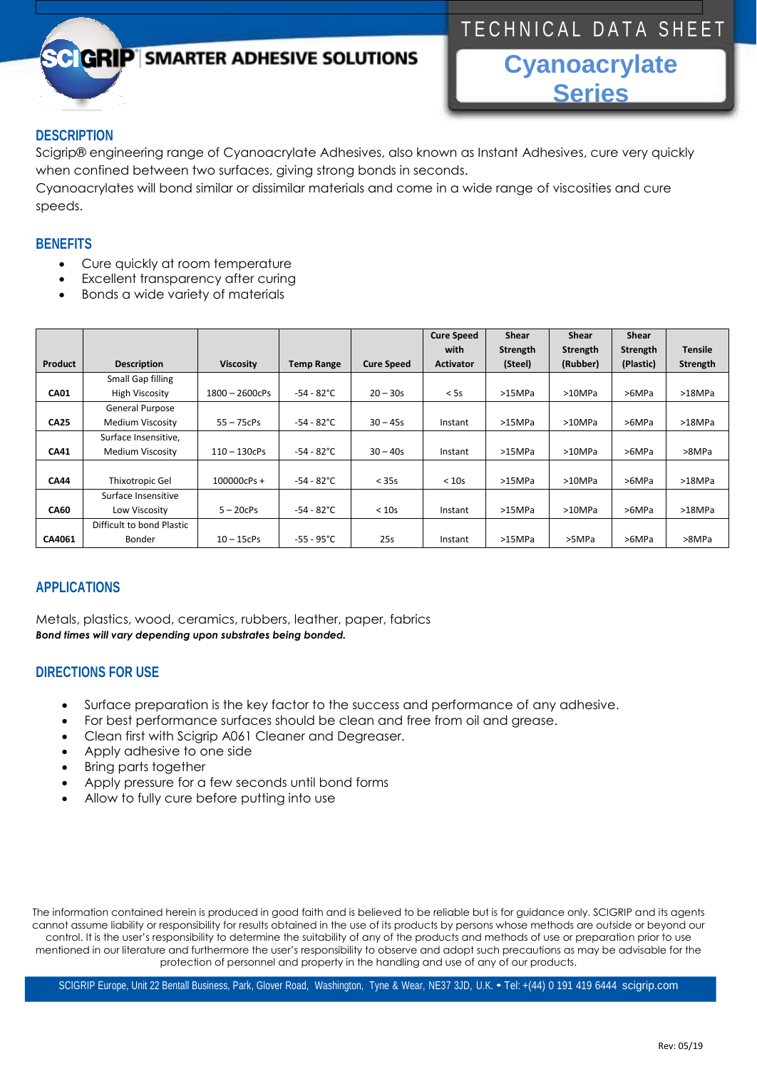# TECHNICAL DATA SHEET

# **GRIP** SMARTER ADHESIVE SOLUTIONS

**Cyanoacrylate Series**

## **DESCRIPTION**

Scigrip® engineering range of Cyanoacrylate Adhesives, also known as Instant Adhesives, cure very quickly when confined between two surfaces, giving strong bonds in seconds.

Cyanoacrylates will bond similar or dissimilar materials and come in a wide range of viscosities and cure speeds.

### **BENEFITS**

- Cure quickly at room temperature
- Excellent transparency after curing
- Bonds a wide variety of materials

|             |                           |                  |                      |                   | <b>Cure Speed</b> | Shear    | Shear           | Shear     |                |
|-------------|---------------------------|------------------|----------------------|-------------------|-------------------|----------|-----------------|-----------|----------------|
|             |                           |                  |                      |                   | with              | Strength | <b>Strength</b> | Strength  | <b>Tensile</b> |
| Product     | <b>Description</b>        | <b>Viscosity</b> | <b>Temp Range</b>    | <b>Cure Speed</b> | <b>Activator</b>  | (Steel)  | (Rubber)        | (Plastic) | Strength       |
|             | Small Gap filling         |                  |                      |                   |                   |          |                 |           |                |
| <b>CA01</b> | <b>High Viscosity</b>     | 1800 - 2600cPs   | $-54 - 82^{\circ}$ C | $20 - 30s$        | < 5s              | >15MPa   | >10MPa          | >6MPa     | >18MPa         |
|             | General Purpose           |                  |                      |                   |                   |          |                 |           |                |
| <b>CA25</b> | Medium Viscosity          | $55 - 75$ c $Ps$ | $-54 - 82^{\circ}$ C | $30 - 45s$        | Instant           | >15MPa   | >10MPa          | >6MPa     | >18MPa         |
|             | Surface Insensitive,      |                  |                      |                   |                   |          |                 |           |                |
| <b>CA41</b> | Medium Viscosity          | $110 - 130$ cPs  | $-54 - 82^{\circ}$ C | $30 - 40s$        | Instant           | >15MPa   | >10MPa          | >6MPa     | >8MPa          |
|             |                           |                  |                      |                   |                   |          |                 |           |                |
| <b>CA44</b> | Thixotropic Gel           | $100000cPs +$    | $-54 - 82^{\circ}$ C | < 35s             | < 10s             | >15MPa   | >10MPa          | >6MPa     | >18MPa         |
|             | Surface Insensitive       |                  |                      |                   |                   |          |                 |           |                |
| <b>CA60</b> | Low Viscosity             | $5 - 20c$ Ps     | $-54 - 82^{\circ}$ C | < 10s             | Instant           | >15MPa   | >10MPa          | >6MPa     | >18MPa         |
|             | Difficult to bond Plastic |                  |                      |                   |                   |          |                 |           |                |
| CA4061      | Bonder                    | $10 - 15$ c $Ps$ | $-55 - 95^{\circ}C$  | 25s               | Instant           | >15MPa   | >5MPa           | >6MPa     | >8MPa          |

## **APPLICATIONS**

Metals, plastics, wood, ceramics, rubbers, leather, paper, fabrics *Bond times will vary depending upon substrates being bonded.*

### **DIRECTIONS FOR USE**

- Surface preparation is the key factor to the success and performance of any adhesive.
- For best performance surfaces should be clean and free from oil and grease.
- Clean first with Scigrip A061 Cleaner and Degreaser.
- Apply adhesive to one side
- Bring parts together
- Apply pressure for a few seconds until bond forms
- Allow to fully cure before putting into use

The information contained herein is produced in good faith and is believed to be reliable but is for guidance only. SCIGRIP and its agents cannot assume liability or responsibility for results obtained in the use of its products by persons whose methods are outside or beyond our control. It is the user's responsibility to determine the suitability of any of the products and methods of use or preparation prior to use mentioned in our literature and furthermore the user's responsibility to observe and adopt such precautions as may be advisable for the protection of personnel and property in the handling and use of any of our products.

SCIGRIP Europe, Unit 22 Bentall Business, Park, Glover Road, Washington, Tyne & Wear, NE37 3JD, U.K. • Tel: +(44) <sup>0</sup> <sup>191</sup> <sup>419</sup> 6444 scigrip.com